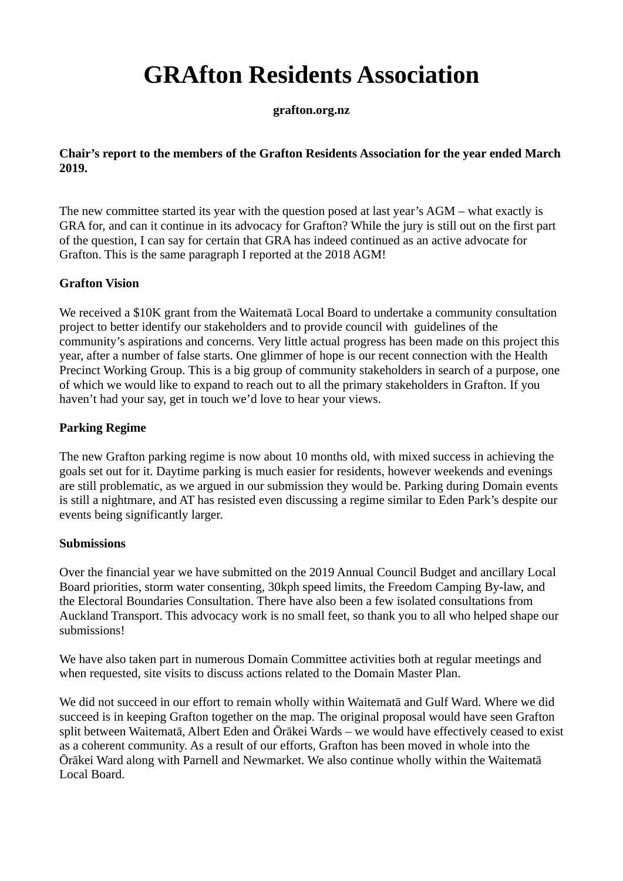# **GRAfton Residents Association**

**grafton.org.nz**

## **Chair's report to the members of the Grafton Residents Association for the year ended March 2019.**

The new committee started its year with the question posed at last year's AGM – what exactly is GRA for, and can it continue in its advocacy for Grafton? While the jury is still out on the first part of the question, I can say for certain that GRA has indeed continued as an active advocate for Grafton. This is the same paragraph I reported at the 2018 AGM!

# **Grafton Vision**

We received a \$10K grant from the Waitematā Local Board to undertake a community consultation project to better identify our stakeholders and to provide council with guidelines of the community's aspirations and concerns. Very little actual progress has been made on this project this year, after a number of false starts. One glimmer of hope is our recent connection with the Health Precinct Working Group. This is a big group of community stakeholders in search of a purpose, one of which we would like to expand to reach out to all the primary stakeholders in Grafton. If you haven't had your say, get in touch we'd love to hear your views.

# **Parking Regime**

The new Grafton parking regime is now about 10 months old, with mixed success in achieving the goals set out for it. Daytime parking is much easier for residents, however weekends and evenings are still problematic, as we argued in our submission they would be. Parking during Domain events is still a nightmare, and AT has resisted even discussing a regime similar to Eden Park's despite our events being significantly larger.

## **Submissions**

Over the financial year we have submitted on the 2019 Annual Council Budget and ancillary Local Board priorities, storm water consenting, 30kph speed limits, the Freedom Camping By-law, and the Electoral Boundaries Consultation. There have also been a few isolated consultations from Auckland Transport. This advocacy work is no small feet, so thank you to all who helped shape our submissions!

We have also taken part in numerous Domain Committee activities both at regular meetings and when requested, site visits to discuss actions related to the Domain Master Plan.

We did not succeed in our effort to remain wholly within Waitematā and Gulf Ward. Where we did succeed is in keeping Grafton together on the map. The original proposal would have seen Grafton split between Waitematā, Albert Eden and Ōrākei Wards – we would have effectively ceased to exist as a coherent community. As a result of our efforts, Grafton has been moved in whole into the Ōrākei Ward along with Parnell and Newmarket. We also continue wholly within the Waitematā Local Board.